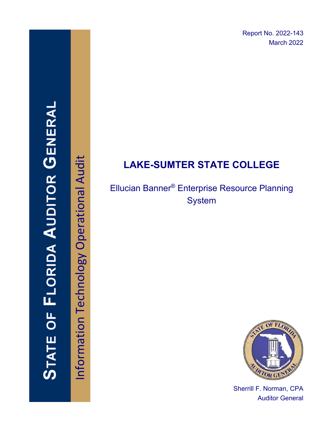Report No. 2022-143 March 2022

# **STATE OF FLORIDA AUDITOR GENERAI**

Information Technology Operational Audit Information Technology Operational Audit

# **LAKE-SUMTER STATE COLLEGE**

# Ellucian Banner® Enterprise Resource Planning **System**



Sherrill F. Norman, CPA Auditor General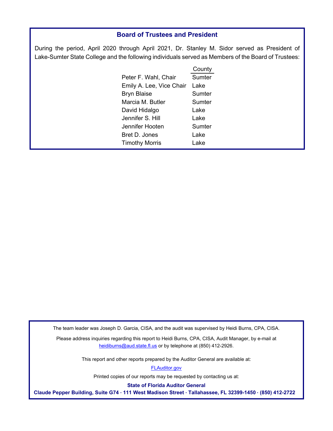### **Board of Trustees and President**

During the period, April 2020 through April 2021, Dr. Stanley M. Sidor served as President of Lake-Sumter State College and the following individuals served as Members of the Board of Trustees:

|                          | County |
|--------------------------|--------|
| Peter F. Wahl, Chair     | Sumter |
| Emily A. Lee, Vice Chair | Lake   |
| <b>Bryn Blaise</b>       | Sumter |
| Marcia M. Butler         | Sumter |
| David Hidalgo            | Lake   |
| Jennifer S. Hill         | Lake   |
| Jennifer Hooten          | Sumter |
| Bret D. Jones            | Lake   |
| <b>Timothy Morris</b>    | I ake  |
|                          |        |

The team leader was Joseph D. Garcia, CISA, and the audit was supervised by Heidi Burns, CPA, CISA.

Please address inquiries regarding this report to Heidi Burns, CPA, CISA, Audit Manager, by e-mail at heidiburns@aud.state.fl.us or by telephone at (850) 412-2926.

This report and other reports prepared by the Auditor General are available at:

[FLAuditor.gov](http://flauditor.gov/) 

Printed copies of our reports may be requested by contacting us at:

**State of Florida Auditor General** 

**Claude Pepper Building, Suite G74 · 111 West Madison Street · Tallahassee, FL 32399-1450 · (850) 412-2722**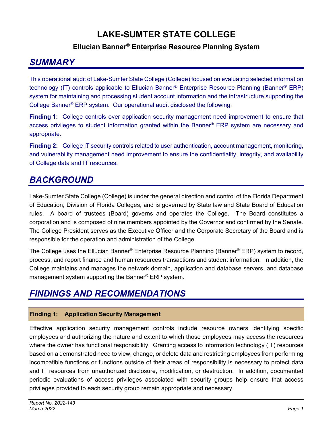# **LAKE-SUMTER STATE COLLEGE**

## **Ellucian Banner® Enterprise Resource Planning System**

# *SUMMARY*

This operational audit of Lake-Sumter State College (College) focused on evaluating selected information technology (IT) controls applicable to Ellucian Banner® Enterprise Resource Planning (Banner® ERP) system for maintaining and processing student account information and the infrastructure supporting the College Banner® ERP system. Our operational audit disclosed the following:

**Finding 1:** College controls over application security management need improvement to ensure that access privileges to student information granted within the Banner® ERP system are necessary and appropriate.

**Finding 2:** College IT security controls related to user authentication, account management, monitoring, and vulnerability management need improvement to ensure the confidentiality, integrity, and availability of College data and IT resources.

# *BACKGROUND*

Lake-Sumter State College (College) is under the general direction and control of the Florida Department of Education, Division of Florida Colleges, and is governed by State law and State Board of Education rules. A board of trustees (Board) governs and operates the College. The Board constitutes a corporation and is composed of nine members appointed by the Governor and confirmed by the Senate. The College President serves as the Executive Officer and the Corporate Secretary of the Board and is responsible for the operation and administration of the College.

The College uses the Ellucian Banner® Enterprise Resource Planning (Banner® ERP) system to record, process, and report finance and human resources transactions and student information. In addition, the College maintains and manages the network domain, application and database servers, and database management system supporting the Banner® ERP system.

# *FINDINGS AND RECOMMENDATIONS*

### **Finding 1: Application Security Management**

Effective application security management controls include resource owners identifying specific employees and authorizing the nature and extent to which those employees may access the resources where the owner has functional responsibility. Granting access to information technology (IT) resources based on a demonstrated need to view, change, or delete data and restricting employees from performing incompatible functions or functions outside of their areas of responsibility is necessary to protect data and IT resources from unauthorized disclosure, modification, or destruction. In addition, documented periodic evaluations of access privileges associated with security groups help ensure that access privileges provided to each security group remain appropriate and necessary.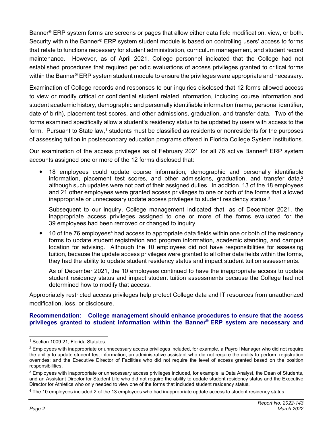Banner® ERP system forms are screens or pages that allow either data field modification, view, or both. Security within the Banner® ERP system student module is based on controlling users' access to forms that relate to functions necessary for student administration, curriculum management, and student record maintenance. However, as of April 2021, College personnel indicated that the College had not established procedures that required periodic evaluations of access privileges granted to critical forms within the Banner® ERP system student module to ensure the privileges were appropriate and necessary.

Examination of College records and responses to our inquiries disclosed that 12 forms allowed access to view or modify critical or confidential student related information, including course information and student academic history, demographic and personally identifiable information (name, personal identifier, date of birth), placement test scores, and other admissions, graduation, and transfer data. Two of the forms examined specifically allow a student's residency status to be updated by users with access to the form. Pursuant to State law,<sup>1</sup> students must be classified as residents or nonresidents for the purposes of assessing tuition in postsecondary education programs offered in Florida College System institutions.

Our examination of the access privileges as of February 2021 for all 76 active Banner® ERP system accounts assigned one or more of the 12 forms disclosed that:

 18 employees could update course information, demographic and personally identifiable information, placement test scores, and other admissions, graduation, and transfer data, $2$ although such updates were not part of their assigned duties. In addition, 13 of the 18 employees and 21 other employees were granted access privileges to one or both of the forms that allowed inappropriate or unnecessary update access privileges to student residency status. $3$ 

Subsequent to our inquiry, College management indicated that, as of December 2021, the inappropriate access privileges assigned to one or more of the forms evaluated for the 39 employees had been removed or changed to inquiry.

• 10 of the 76 employees<sup>4</sup> had access to appropriate data fields within one or both of the residency forms to update student registration and program information, academic standing, and campus location for advising. Although the 10 employees did not have responsibilities for assessing tuition, because the update access privileges were granted to all other data fields within the forms, they had the ability to update student residency status and impact student tuition assessments.

As of December 2021, the 10 employees continued to have the inappropriate access to update student residency status and impact student tuition assessments because the College had not determined how to modify that access.

Appropriately restricted access privileges help protect College data and IT resources from unauthorized modification, loss, or disclosure.

### **Recommendation: College management should enhance procedures to ensure that the access privileges granted to student information within the Banner® ERP system are necessary and**

<sup>&</sup>lt;sup>1</sup> Section 1009.21, Florida Statutes.

 $2$  Employees with inappropriate or unnecessary access privileges included, for example, a Payroll Manager who did not require the ability to update student test information; an administrative assistant who did not require the ability to perform registration overrides; and the Executive Director of Facilities who did not require the level of access granted based on the position responsibilities.

<sup>&</sup>lt;sup>3</sup> Employees with inappropriate or unnecessary access privileges included, for example, a Data Analyst, the Dean of Students, and an Assistant Director for Student Life who did not require the ability to update student residency status and the Executive Director for Athletics who only needed to view one of the forms that included student residency status.

<sup>4</sup> The 10 employees included 2 of the 13 employees who had inappropriate update access to student residency status.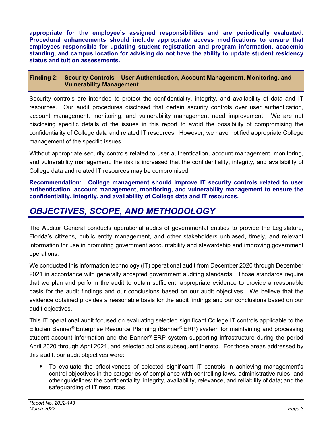**appropriate for the employee's assigned responsibilities and are periodically evaluated. Procedural enhancements should include appropriate access modifications to ensure that employees responsible for updating student registration and program information, academic standing, and campus location for advising do not have the ability to update student residency status and tuition assessments.** 

### **Finding 2: Security Controls – User Authentication, Account Management, Monitoring, and Vulnerability Management**

Security controls are intended to protect the confidentiality, integrity, and availability of data and IT resources. Our audit procedures disclosed that certain security controls over user authentication, account management, monitoring, and vulnerability management need improvement. We are not disclosing specific details of the issues in this report to avoid the possibility of compromising the confidentiality of College data and related IT resources. However, we have notified appropriate College management of the specific issues.

Without appropriate security controls related to user authentication, account management, monitoring, and vulnerability management, the risk is increased that the confidentiality, integrity, and availability of College data and related IT resources may be compromised.

**Recommendation: College management should improve IT security controls related to user authentication, account management, monitoring, and vulnerability management to ensure the confidentiality, integrity, and availability of College data and IT resources.** 

# *OBJECTIVES, SCOPE, AND METHODOLOGY*

The Auditor General conducts operational audits of governmental entities to provide the Legislature, Florida's citizens, public entity management, and other stakeholders unbiased, timely, and relevant information for use in promoting government accountability and stewardship and improving government operations.

We conducted this information technology (IT) operational audit from December 2020 through December 2021 in accordance with generally accepted government auditing standards. Those standards require that we plan and perform the audit to obtain sufficient, appropriate evidence to provide a reasonable basis for the audit findings and our conclusions based on our audit objectives. We believe that the evidence obtained provides a reasonable basis for the audit findings and our conclusions based on our audit objectives.

This IT operational audit focused on evaluating selected significant College IT controls applicable to the Ellucian Banner® Enterprise Resource Planning (Banner® ERP) system for maintaining and processing student account information and the Banner® ERP system supporting infrastructure during the period April 2020 through April 2021, and selected actions subsequent thereto. For those areas addressed by this audit, our audit objectives were:

 To evaluate the effectiveness of selected significant IT controls in achieving management's control objectives in the categories of compliance with controlling laws, administrative rules, and other guidelines; the confidentiality, integrity, availability, relevance, and reliability of data; and the safeguarding of IT resources.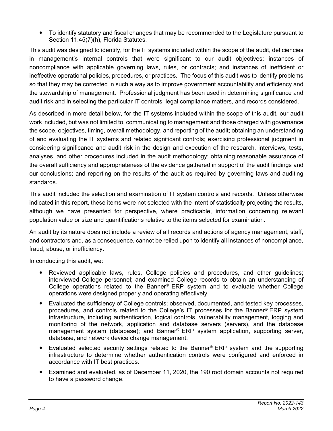To identify statutory and fiscal changes that may be recommended to the Legislature pursuant to Section 11.45(7)(h), Florida Statutes.

This audit was designed to identify, for the IT systems included within the scope of the audit, deficiencies in management's internal controls that were significant to our audit objectives; instances of noncompliance with applicable governing laws, rules, or contracts; and instances of inefficient or ineffective operational policies, procedures, or practices. The focus of this audit was to identify problems so that they may be corrected in such a way as to improve government accountability and efficiency and the stewardship of management. Professional judgment has been used in determining significance and audit risk and in selecting the particular IT controls, legal compliance matters, and records considered.

As described in more detail below, for the IT systems included within the scope of this audit, our audit work included, but was not limited to, communicating to management and those charged with governance the scope, objectives, timing, overall methodology, and reporting of the audit; obtaining an understanding of and evaluating the IT systems and related significant controls; exercising professional judgment in considering significance and audit risk in the design and execution of the research, interviews, tests, analyses, and other procedures included in the audit methodology; obtaining reasonable assurance of the overall sufficiency and appropriateness of the evidence gathered in support of the audit findings and our conclusions; and reporting on the results of the audit as required by governing laws and auditing standards.

This audit included the selection and examination of IT system controls and records. Unless otherwise indicated in this report, these items were not selected with the intent of statistically projecting the results, although we have presented for perspective, where practicable, information concerning relevant population value or size and quantifications relative to the items selected for examination.

An audit by its nature does not include a review of all records and actions of agency management, staff, and contractors and, as a consequence, cannot be relied upon to identify all instances of noncompliance, fraud, abuse, or inefficiency.

In conducting this audit, we:

- Reviewed applicable laws, rules, College policies and procedures, and other guidelines; interviewed College personnel; and examined College records to obtain an understanding of College operations related to the Banner® ERP system and to evaluate whether College operations were designed properly and operating effectively.
- Evaluated the sufficiency of College controls; observed, documented, and tested key processes, procedures, and controls related to the College's IT processes for the Banner® ERP system infrastructure, including authentication, logical controls, vulnerability management, logging and monitoring of the network, application and database servers (servers), and the database management system (database); and Banner® ERP system application, supporting server, database, and network device change management.
- Evaluated selected security settings related to the Banner<sup>®</sup> ERP system and the supporting infrastructure to determine whether authentication controls were configured and enforced in accordance with IT best practices.
- Examined and evaluated, as of December 11, 2020, the 190 root domain accounts not required to have a password change.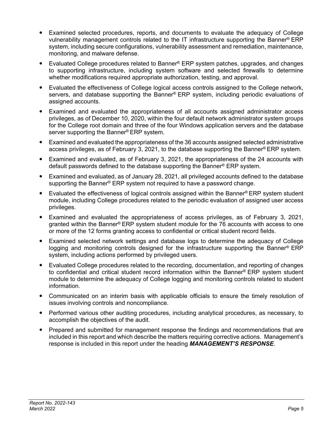- Examined selected procedures, reports, and documents to evaluate the adequacy of College vulnerability management controls related to the IT infrastructure supporting the Banner® ERP system, including secure configurations, vulnerability assessment and remediation, maintenance, monitoring, and malware defense.
- Evaluated College procedures related to Banner® ERP system patches, upgrades, and changes to supporting infrastructure, including system software and selected firewalls to determine whether modifications required appropriate authorization, testing, and approval.
- Evaluated the effectiveness of College logical access controls assigned to the College network, servers, and database supporting the Banner® ERP system, including periodic evaluations of assigned accounts.
- Examined and evaluated the appropriateness of all accounts assigned administrator access privileges, as of December 10, 2020, within the four default network administrator system groups for the College root domain and three of the four Windows application servers and the database server supporting the Banner® ERP system.
- Examined and evaluated the appropriateness of the 36 accounts assigned selected administrative access privileges, as of February 3, 2021, to the database supporting the Banner® ERP system.
- Examined and evaluated, as of February 3, 2021, the appropriateness of the 24 accounts with default passwords defined to the database supporting the Banner® ERP system.
- Examined and evaluated, as of January 28, 2021, all privileged accounts defined to the database supporting the Banner<sup>®</sup> ERP system not required to have a password change.
- Evaluated the effectiveness of logical controls assigned within the Banner® ERP system student module, including College procedures related to the periodic evaluation of assigned user access privileges.
- Examined and evaluated the appropriateness of access privileges, as of February 3, 2021, granted within the Banner® ERP system student module for the 76 accounts with access to one or more of the 12 forms granting access to confidential or critical student record fields.
- Examined selected network settings and database logs to determine the adequacy of College logging and monitoring controls designed for the infrastructure supporting the Banner<sup>®</sup> ERP system, including actions performed by privileged users.
- Evaluated College procedures related to the recording, documentation, and reporting of changes to confidential and critical student record information within the Banner® ERP system student module to determine the adequacy of College logging and monitoring controls related to student information.
- Communicated on an interim basis with applicable officials to ensure the timely resolution of issues involving controls and noncompliance.
- Performed various other auditing procedures, including analytical procedures, as necessary, to accomplish the objectives of the audit.
- Prepared and submitted for management response the findings and recommendations that are included in this report and which describe the matters requiring corrective actions. Management's response is included in this report under the heading *MANAGEMENT'S RESPONSE*.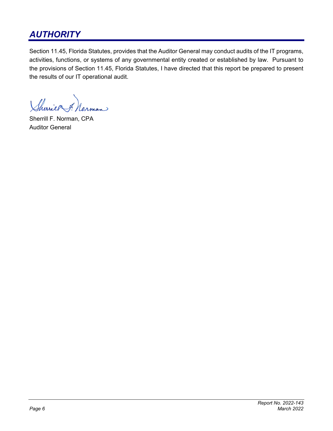# *AUTHORITY*

Section 11.45, Florida Statutes, provides that the Auditor General may conduct audits of the IT programs, activities, functions, or systems of any governmental entity created or established by law. Pursuant to the provisions of Section 11.45, Florida Statutes, I have directed that this report be prepared to present the results of our IT operational audit.

Sherier 7. man

Sherrill F. Norman, CPA Auditor General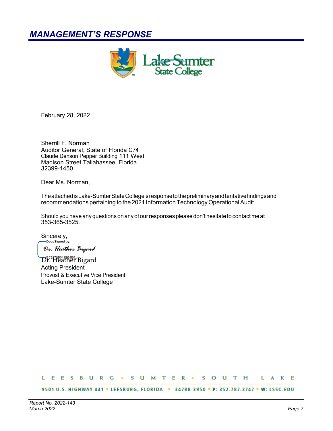# *MANAGEMENT'S RESPONSE*



February 28, 2022

Sherrill F. Norman Auditor General, State of Florida G74 Claude Denson Pepper Building 111 West Madison Street Tallahassee, Florida 32399-1450

Dear Ms. Norman,

The attached is Lake-Sumter State College's response to the preliminary and tentative findings and recommendations pertaining to the 2021 Information Technology Operational Audit.

Should you have any questions on any of our responses please don't hesitate to contact me at 353-365-3525.

Sincerely,<br>
Sincerely,

Dr. Heather Bigard

Dr. Heather Bigard Acting President Provost & Executive Vice President Lake-Sumter State College

### L E E S B U R G + S U M T E R + S O U T H L A K E

9501 U.S. HIGHWAY 441 \* LEESBURG, FLORIDA \* 34788-3950 \* P: 352.787.3747 \* W: LSSC.EDU